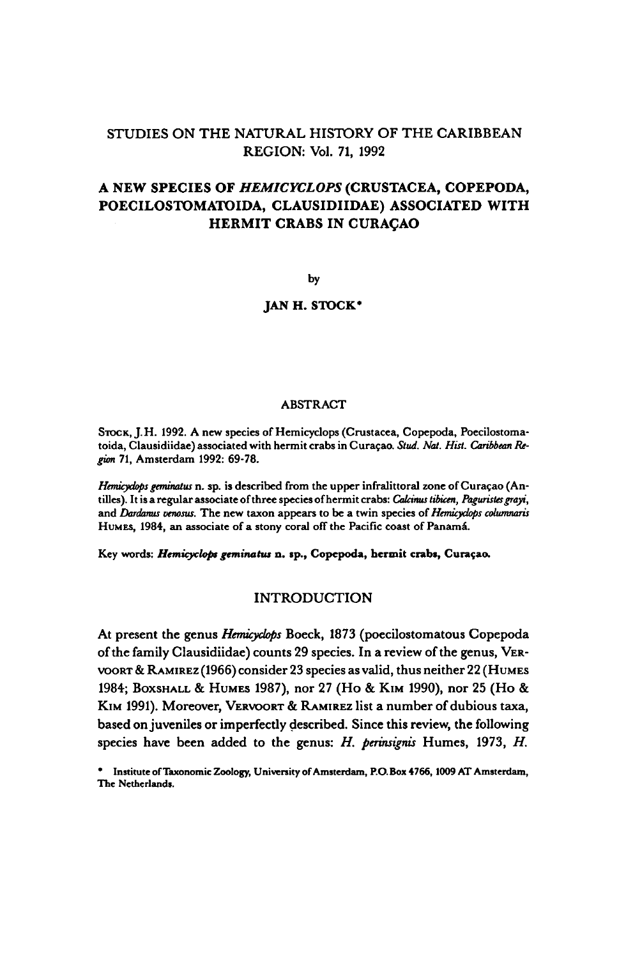## STUDIES ON THE NATURAL HISTORY OF THE CARIBBEAN REGION: Vol. 71, 1992

# <sup>A</sup> new species of Hemicyclops (Crustacea, Copepoda, Poecilostomatoida, Clausidiidae) associated with **HERMIT CRABS IN CURACAO**

by

### JAN H. STOCK<sup>\*</sup>

#### **ABSTRACT**

STOCK, J.H. 1992. A new species of Hemicyclops (Crustacea, Copepoda, Poecilostomatoida, Clausidiidae) associated with hermit crabs in Curaçao. Stud. Nat. Hist. Caribbean Region 71, Amsterdam 1992: 69-78.

Hemicyclops geminatus n. sp. is described from the upper infralittoral zone of Curaçao (Antilles). It is a regular associate of three species of hermit crabs: Calcinus tibicen, Paguristes grayi, and Dardanus venosus. The new taxon appears to be a twin species of Hemicyclops columnaris HUMES, 1984, an associate of a stony coral off the Pacific coast of Panamá.

Key words: Hemicyclops geminatus n. sp., Copepoda, hermit crabs, Curaçao.

#### INTRODUCTION

At present the genus Hemicyclops Boeck, <sup>1873</sup> (poecilostomatous Copepoda ofthe family Clausidiidae) counts <sup>29</sup> species. In a review of the genus, VER-VOORT & RAMIREZ (1966) consider23 species as valid, thus neither22 (HUMES 1984; BOXSHALL & HUMES 1987), nor27 (Ho & KIM 1990), nor25 (Ho & KIM 1991). Moreover, VERVOORT & RAMIREZ list a number of dubious taxa, based on juveniles or imperfectly described. Since this review, the following species have been added to the genus: H. perinsignis Humes, 1973, H.

Institute of Taxonomic Zoology, University of Amsterdam, P.O. Box 4766, 1009 AT Amsterdam, The Netherlands.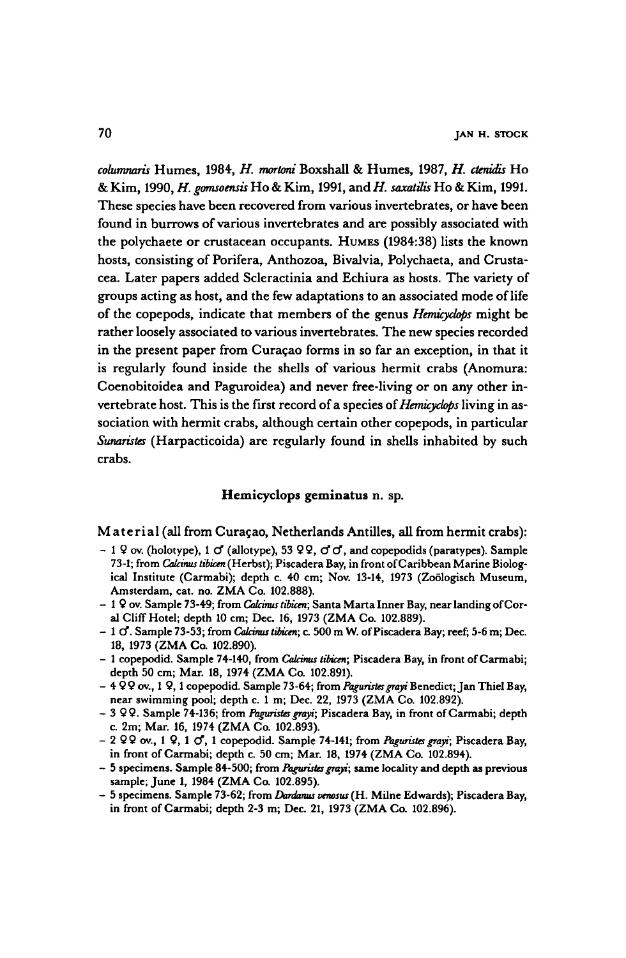columnaris Humes, 1984, H. mortoni Boxshall & Humes, 1987, H. ctenidis Ho & Kim, 1990, H. gomsoensis Ho & Kim, 1991, and H. saxatilis Ho & Kim, 1991. These species have been recovered from various invertebrates, orhave been found in burrows of various invertebrates and are possibly associated with the polychaete or crustacean occupants. HUMES (1984:38) lists the known hosts, consisting of Porifera, Anthozoa, Bivalvia, Polychaeta, and Crustacea. Later papers added Scleractinia and Echiura as hosts. The variety of groups acting as host, and the few adaptations to an associated mode of life of the copepods, indicate that members of the genus Hemicyclops might be rather loosely associated to various invertebrates. The new species recorded in the present paper from Curaçao forms in so far an exception, in that it is regularly found inside the shells of various hermit crabs (Anomura: Coenobitoidea and Paguroidea) and never free-living or on any other invertebrate host. This is the first record of a species of *Hemicyclops* living in association with hermit crabs, although certain other copepods, in particular Sunaristes (Harpacticoida) are regularly found in shells inhabited by such crabs.

### Hemicyclops geminatus n. sp.

## Material (all from Curaçao, Netherlands Antilles, all from hermit crabs):

- 1 9 ov. (holotype), 1  $\sigma$  (allotype), 53 99,  $\sigma$   $\sigma$ , and copepodids (paratypes). Sample 73-1; from Calcinus tibicen (Herbst); Piscadera Bay, in front of Caribbean Marine Biological Institute (Carmabi); depth c. 40 cm; Nov. 13-14, 1973 (Zoölogisch Museum, Amsterdam, cat. no. ZMA Co. 102.888).
- 1 9 ov. Sample 73-49; from Calcinus tibicen; Santa Marta Inner Bay, near landing of Coral Cliff Hotel; depth <sup>10</sup> cm; Dec. 16, <sup>1973</sup> (ZMA Co. 102.889).
- $-1$  O. Sample 73-53; from *Calcinus tibicen*; c. 500 m W. of Piscadera Bay; reef; 5-6 m; Dec. 18, <sup>1973</sup> (ZMA Co. 102.890).
- <sup>1</sup> copepodid. Sample 74-140, from Calcinus tibicen; Piscadera Bay, in front of Carmabi; depth 50 cm; Mar. 18, <sup>1974</sup> (ZMA Co. 102.891).
- $-4$  99 ov., 1 9, 1 copepodid. Sample 73-64; from Paguristes grayi Benedict; Jan Thiel Bay, near swimming pool; depth c. 1 m; Dec. 22, 1973 (ZMA Co. 102.892).
- 3 99. Sample 74-136; from Paguristes grayi; Piscadera Bay, in front of Carmabi; depth c. 2m; Mar. 16, <sup>1974</sup> (ZMA Co. 102.893).
- 2 9 ov., 1 9, 1 of, 1 copepodid. Sample 74-141; from Paguristes grayi; Piscadera Bay, in front of Carmabi; depth c. 50 cm; Mar. 18, 1974 (ZMA Co. 102.894).
- 5 specimens. Sample 84-500; from Paguristes grayi; same locality and depth as previous sample; June 1, 1984 (ZMA Co. 102.895).
- 5 specimens. Sample 73-62; from Dardanus venosus (H. Milne Edwards); Piscadera Bay, in front of Carmabi; depth 2-3 m; Dec. 21, <sup>1973</sup> (ZMA Co. 102.896).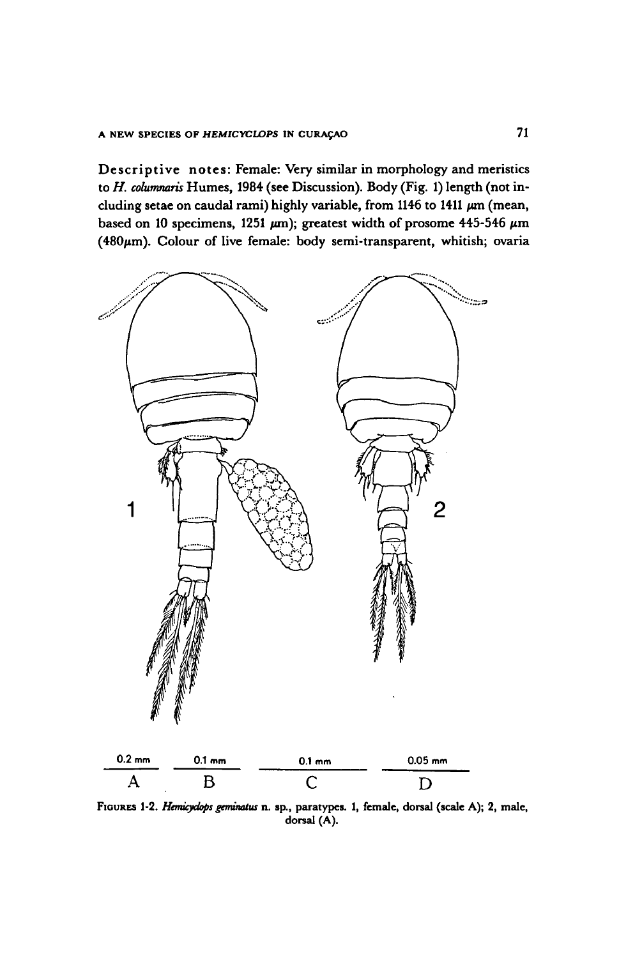Descriptive notes: Female: Very similar in morphology and meristics to H. columnaris Humes, 1984 (see Discussion). Body (Fig. 1) length (not including setae on caudal rami) highly variable, from 1146 to 1411  $\mu$ m (mean, based on 10 specimens, 1251  $\mu$ m); greatest width of prosome 445-546  $\mu$ m ( $480\mu$ m). Colour of live female: body semi-transparent, whitish; ovaria



FIGURES 1-2. Hemicyclops geminatus n. sp., paratypes. 1, female, dorsal (scale A); 2, male, dorsal (A).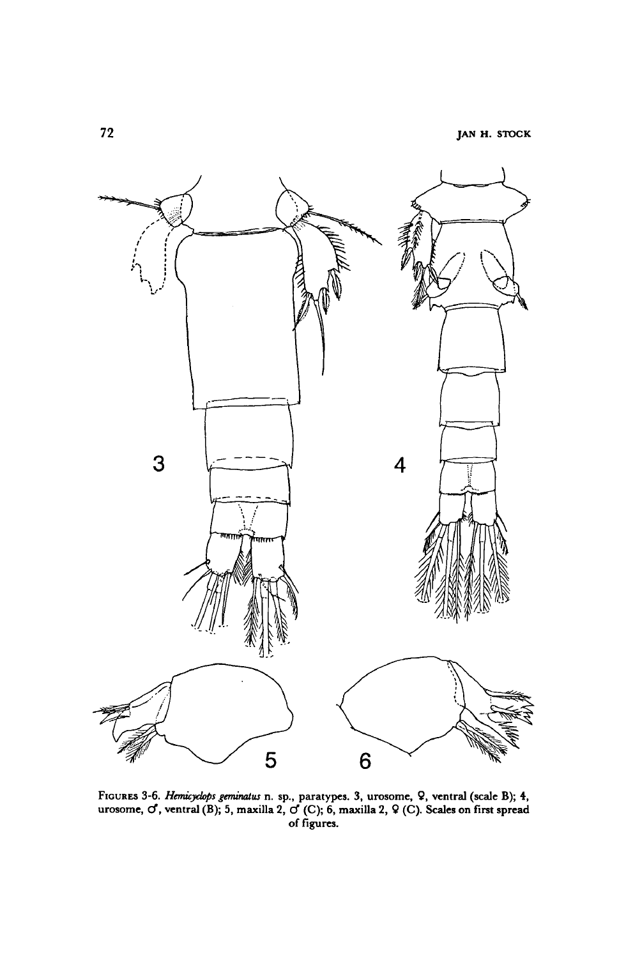

FIGURES 3-6. Hemicyclops geminatus n. sp., paratypes. 3, urosome, 9, ventral (scale B); 4, urosome,  ${\cal O}$ , ventral (B); 5, maxilla 2,  ${\cal O}$  (C); 6, maxilla 2,  ${\cal Q}$  (C). Scales on first spread of figures.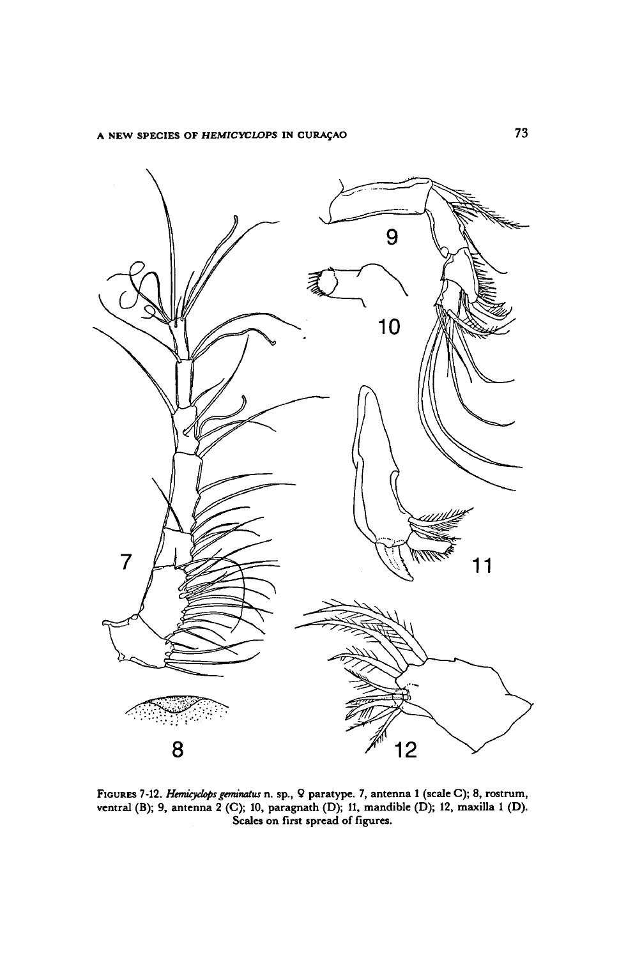

FIGURES 7-12. Hemicyclops geminatus n. sp., 9 paratype. 7, antenna 1 (scale C); 8, rostrum, ventral (B); 9, antenna 2 (C); 10, paragnath (D); 11, mandible (D); 12, maxilla 1 (D). Scales on first spread of figures.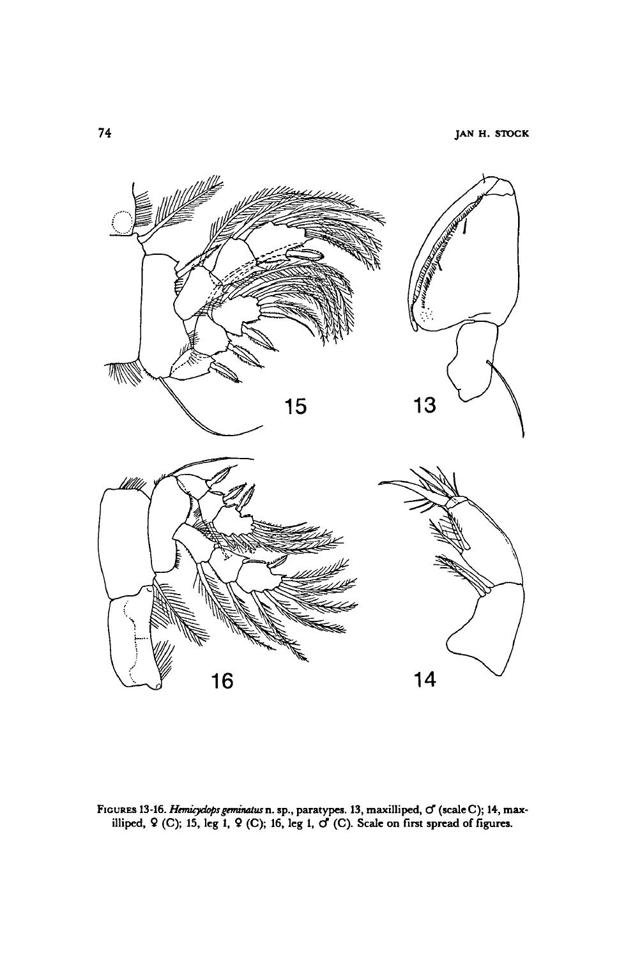

.<br>Figures 13-16. *Hemicydops geminatus* n. sp., paratypes. 13, maxilliped, o (scale C); 14, max URES 13-16. *Hemicydops geminatus* n. sp., paratypes. 13, maxilliped, O' (scale C); 14, m<br>illiped, ♀ (C); 15, leg 1, ♀ (C); 16, leg 1, O' (C). Scale on first spread of figures.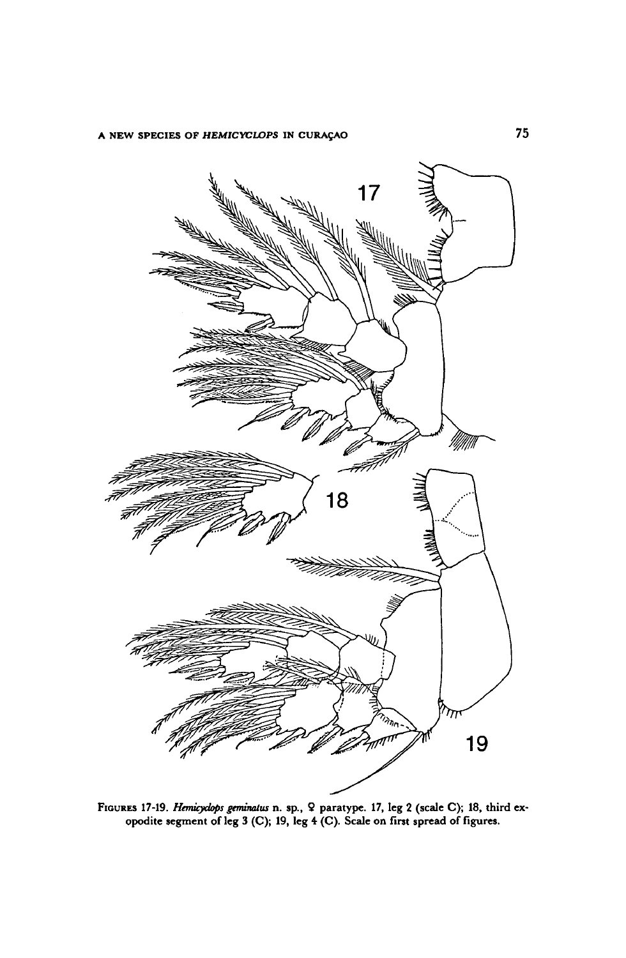

FIGURES 17-19. Hemicyclops geminatus n. sp., 9 paratype. 17, leg 2 (scale C); 18, third ex opodite segment of leg <sup>3</sup> (C); 19, leg <sup>4</sup> (C). Scale on first spread of figures.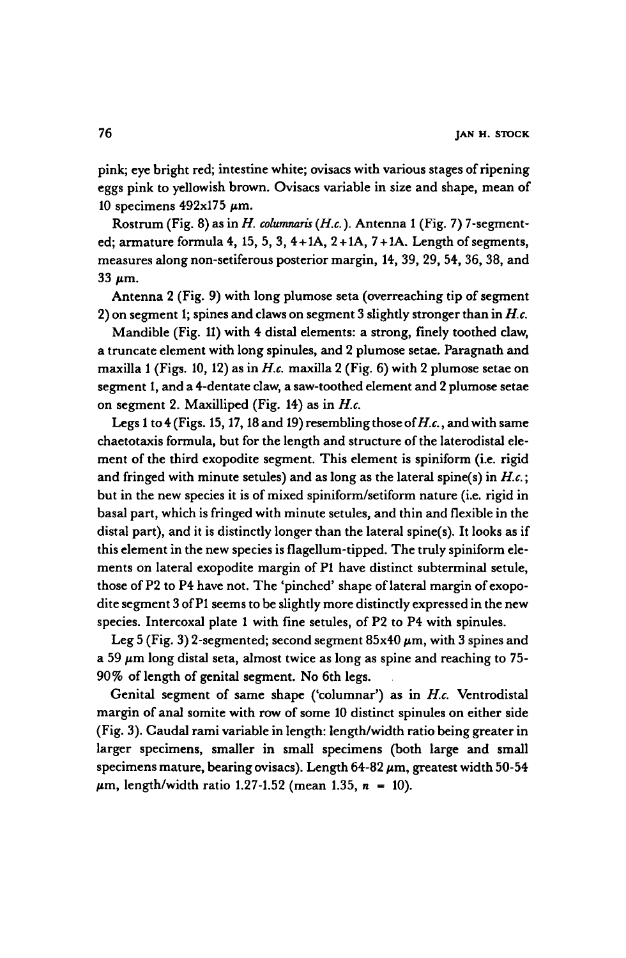pink; eye bright red; intestine white; ovisacs with various stages ofripening eggs pink to yellowish brown. Ovisacs variable in size and shape, mean of 10 specimens  $492x175 \mu m$ .

Rostrum (Fig. 8) as in H. columnaris (H.c.). Antenna 1 (Fig. 7) 7-segmented; armature formula 4, 15, 5, 3,  $4+1A$ ,  $2+1A$ ,  $7+1A$ . Length of segments, measures along non-setiferous posterior margin, 14, 39, 29, 54, 36, 38, and  $33 \mu m$ .

Antenna <sup>2</sup> (Fig. 9) with long plumose seta (overreaching tip of segment 2) on segment 1; spines and claws on segment 3 slightly stronger than in  $H.c.$ 

Mandible (Fig. 11) with 4 distal elements: astrong, finely toothed claw, <sup>a</sup> truncate element withlong spinules, and <sup>2</sup> plumose setae. Paragnath and maxilla 1 (Figs. 10, 12) as in H.c. maxilla 2 (Fig. 6) with 2 plumose setae on segment 1, and a 4-dentate claw, a saw-toothed element and 2 plumose setae on segment 2. Maxilliped (Fig. 14) as in  $H.c.$ 

Legs 1 to 4 (Figs. 15, 17, 18 and 19) resembling those of  $H.c.$ , and with same chaetotaxis formula, but for the length and structure of the laterodistal element of the third exopodite segment. This element is spiniform (i.e. rigid and fringed with minute setules) and as long as the lateral spine(s) in  $H.c.;$ but in the new species it is of mixed spiniform/setiform nature (i.e. rigid in basal part, which is fringed with minute setules, and thin and flexible in the distal part), and it is distinctly longer than the lateral spine(s). It looks as if this element in the new species is flagellum-tipped. The truly spiniform elements on lateral exopodite margin of P1 have distinct subterminal setule, those of P2 to P4 have not. The 'pinched' shape of lateral margin of exopodite segment 3 of P1 seems to be slightly more distinctly expressed in the new species. Intercoxal plate 1 with fine setules, of P2 to P4 with spinules.

Leg 5 (Fig. 3) 2-segmented; second segment  $85x40 \ \mu m$ , with 3 spines and a 59  $\mu$ m long distal seta, almost twice as long as spine and reaching to 75-90% of length of genital segment. No 6th legs.

Genital segment of same shape ('columnar') as in H.c. Ventrodistal margin of anal somite with row of some 10 distinct spinules on either side (Fig. 3). Caudal rami variable in length: length/width ratio being greater in larger specimens, smaller in small specimens (both large and small specimens mature, bearing ovisacs). Length  $64-82 \mu m$ , greatest width 50-54  $\mu$ m, length/width ratio 1.27-1.52 (mean 1.35, n = 10).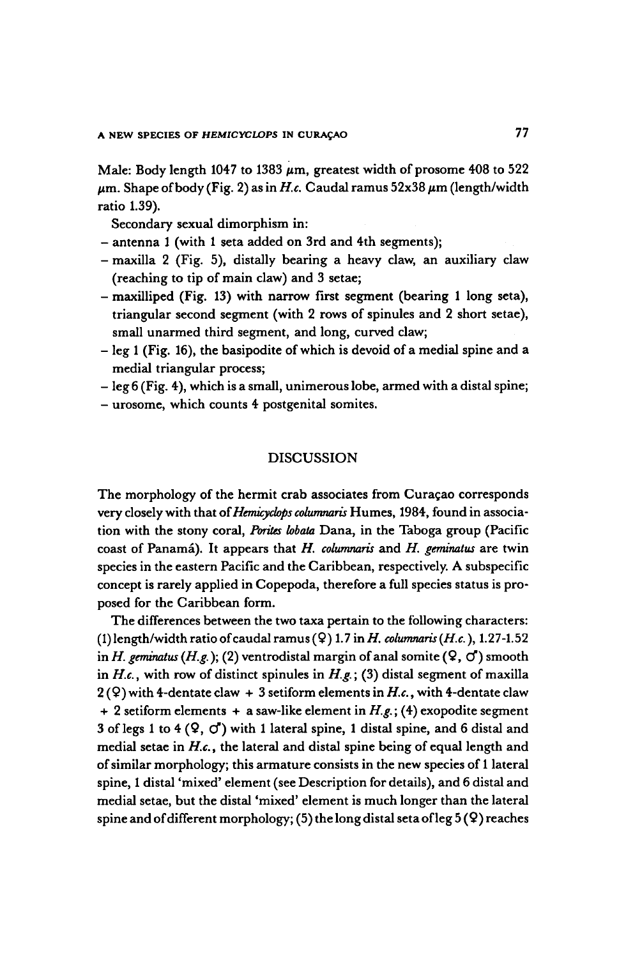Male: Body length 1047 to 1383  $\mu$ m, greatest width of prosome 408 to 522  $\mu$ m. Shape of body (Fig. 2) as in H.c. Caudal ramus 52x38  $\mu$ m (length/width ratio 1.39).

Secondary sexual dimorphism in:

- antenna <sup>1</sup> (with <sup>1</sup> seta added on 3rd and 4th segments);
- -maxilla <sup>2</sup> (Fig. 5), distally bearing <sup>a</sup> heavy claw, an auxiliary claw (reaching to tip of main claw) and <sup>3</sup> setae;
- maxilliped (Fig. 13) with narrow First segment (bearing <sup>1</sup> long seta), triangular second segment(with <sup>2</sup> rows of spinules and <sup>2</sup> short setae), small unarmed third segment, and long, curved claw;
- leg 1 (Fig. 16), the basipodite of which is devoid of a medial spine and a medial triangular process;
- leg <sup>6</sup> (Fig. 4), which is <sup>a</sup> small, unimerouslobe, armedwith <sup>a</sup> distal spine;
- urosome, which counts <sup>4</sup> postgenital somites.

## DISCUSSION

The morphology of the hermit crab associates from Curaçao corresponds very closely with that of Hemicyclops columnaris Humes, 1984, found in association with the stony coral, Porites lobata Dana, in the Taboga group (Pacific coast of Panamá). It appears that  $H$ . columnaris and  $H$ . geminatus are twin species in the eastern Pacific and the Caribbean, respectively. A subspecific concept is rarely applied in Copepoda, therefore <sup>a</sup> full species status is proposed for the Caribbean form.

The differences between the two taxa pertain to the following characters: (1) length/width ratio of caudal ramus ( $9$ ) 1.7 in H. columnaris (H.c.), 1.27-1.52 in H. geminatus (H.g.); (2) ventrodistal margin of anal somite ( $\mathcal{Q}, \mathcal{Q}'$ ) smooth in H.c., with row of distinct spinules in  $H.g.$ ; (3) distal segment of maxilla  $2(Q)$  with 4-dentate claw + 3 setiform elements in H.c., with 4-dentate claw + 2 setiform elements + a saw-like element in  $H.g.$ ; (4) exopodite segment 3 of legs 1 to 4  $(9, 0)$  with 1 lateral spine, 1 distal spine, and 6 distal and medial setae in H.c., the lateral and distal spine being of equal length and of similar morphology; this armature consists in the new species of 1 lateral spine, <sup>1</sup> distal 'mixed' element(see Description for details), and <sup>6</sup> distal and medial setae, but the distal 'mixed' element is much longer than the lateral spine and of different morphology; (5) the long distal seta of leg  $5(9)$  reaches